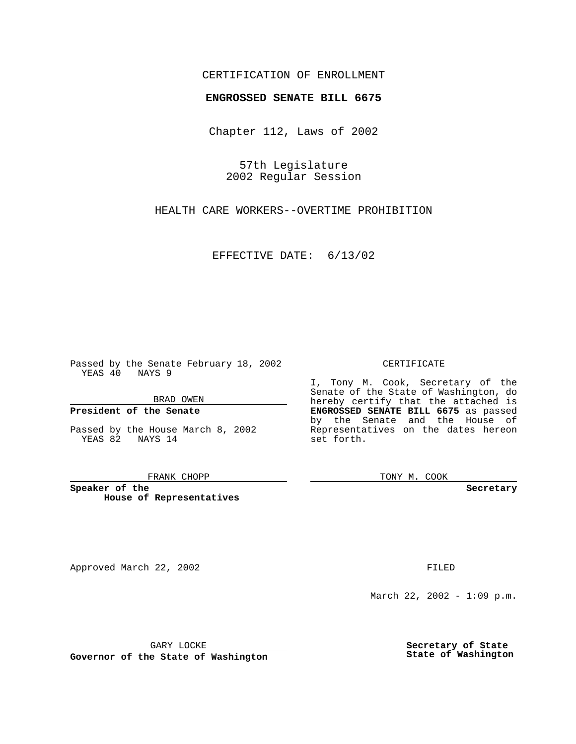## CERTIFICATION OF ENROLLMENT

# **ENGROSSED SENATE BILL 6675**

Chapter 112, Laws of 2002

57th Legislature 2002 Regular Session

HEALTH CARE WORKERS--OVERTIME PROHIBITION

EFFECTIVE DATE: 6/13/02

Passed by the Senate February 18, 2002 YEAS 40 NAYS 9

BRAD OWEN

### **President of the Senate**

Passed by the House March 8, 2002 YEAS 82 NAYS 14

#### FRANK CHOPP

**Speaker of the House of Representatives**

Approved March 22, 2002 **FILED** 

#### CERTIFICATE

I, Tony M. Cook, Secretary of the Senate of the State of Washington, do hereby certify that the attached is **ENGROSSED SENATE BILL 6675** as passed by the Senate and the House of Representatives on the dates hereon set forth.

TONY M. COOK

**Secretary**

March 22, 2002 - 1:09 p.m.

GARY LOCKE

**Governor of the State of Washington**

**Secretary of State State of Washington**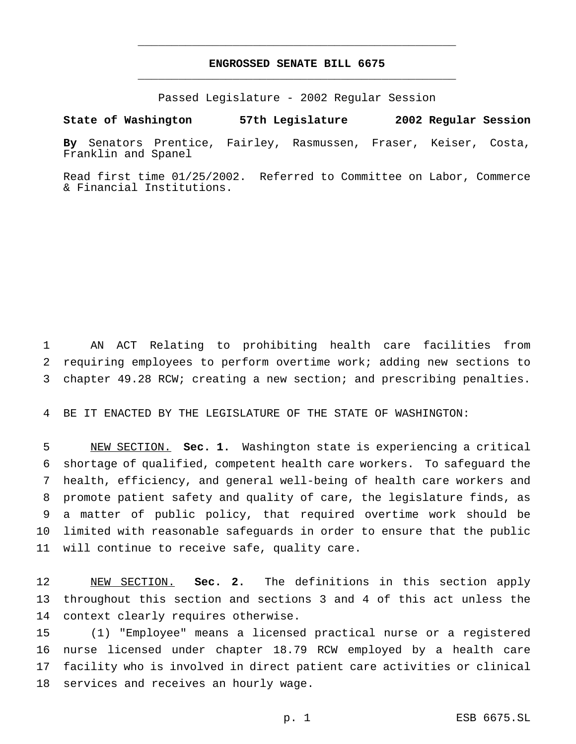# **ENGROSSED SENATE BILL 6675** \_\_\_\_\_\_\_\_\_\_\_\_\_\_\_\_\_\_\_\_\_\_\_\_\_\_\_\_\_\_\_\_\_\_\_\_\_\_\_\_\_\_\_\_\_\_\_

\_\_\_\_\_\_\_\_\_\_\_\_\_\_\_\_\_\_\_\_\_\_\_\_\_\_\_\_\_\_\_\_\_\_\_\_\_\_\_\_\_\_\_\_\_\_\_

Passed Legislature - 2002 Regular Session

**State of Washington 57th Legislature 2002 Regular Session**

**By** Senators Prentice, Fairley, Rasmussen, Fraser, Keiser, Costa, Franklin and Spanel

Read first time 01/25/2002. Referred to Committee on Labor, Commerce & Financial Institutions.

 AN ACT Relating to prohibiting health care facilities from requiring employees to perform overtime work; adding new sections to chapter 49.28 RCW; creating a new section; and prescribing penalties.

BE IT ENACTED BY THE LEGISLATURE OF THE STATE OF WASHINGTON:

 NEW SECTION. **Sec. 1.** Washington state is experiencing a critical shortage of qualified, competent health care workers. To safeguard the health, efficiency, and general well-being of health care workers and promote patient safety and quality of care, the legislature finds, as a matter of public policy, that required overtime work should be limited with reasonable safeguards in order to ensure that the public will continue to receive safe, quality care.

 NEW SECTION. **Sec. 2.** The definitions in this section apply throughout this section and sections 3 and 4 of this act unless the context clearly requires otherwise.

 (1) "Employee" means a licensed practical nurse or a registered nurse licensed under chapter 18.79 RCW employed by a health care facility who is involved in direct patient care activities or clinical services and receives an hourly wage.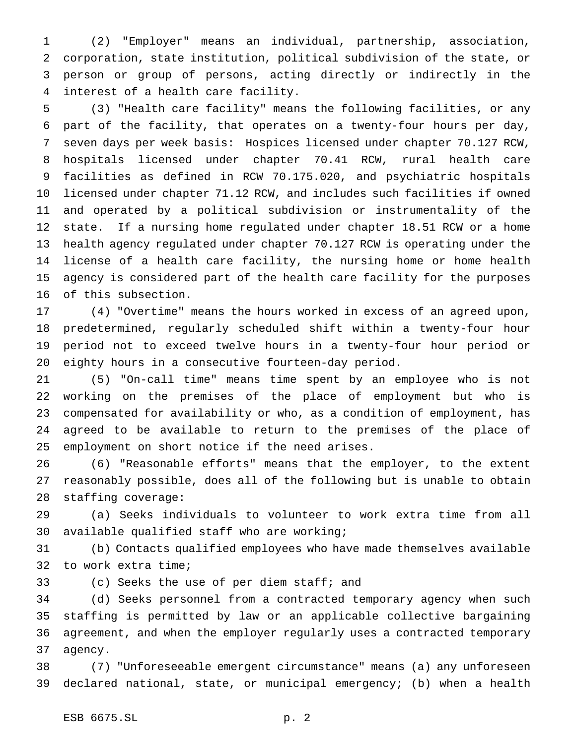(2) "Employer" means an individual, partnership, association, corporation, state institution, political subdivision of the state, or person or group of persons, acting directly or indirectly in the interest of a health care facility.

 (3) "Health care facility" means the following facilities, or any part of the facility, that operates on a twenty-four hours per day, seven days per week basis: Hospices licensed under chapter 70.127 RCW, hospitals licensed under chapter 70.41 RCW, rural health care facilities as defined in RCW 70.175.020, and psychiatric hospitals licensed under chapter 71.12 RCW, and includes such facilities if owned and operated by a political subdivision or instrumentality of the state. If a nursing home regulated under chapter 18.51 RCW or a home health agency regulated under chapter 70.127 RCW is operating under the license of a health care facility, the nursing home or home health agency is considered part of the health care facility for the purposes of this subsection.

 (4) "Overtime" means the hours worked in excess of an agreed upon, predetermined, regularly scheduled shift within a twenty-four hour period not to exceed twelve hours in a twenty-four hour period or eighty hours in a consecutive fourteen-day period.

 (5) "On-call time" means time spent by an employee who is not working on the premises of the place of employment but who is compensated for availability or who, as a condition of employment, has agreed to be available to return to the premises of the place of employment on short notice if the need arises.

 (6) "Reasonable efforts" means that the employer, to the extent reasonably possible, does all of the following but is unable to obtain staffing coverage:

 (a) Seeks individuals to volunteer to work extra time from all available qualified staff who are working;

 (b) Contacts qualified employees who have made themselves available to work extra time;

(c) Seeks the use of per diem staff; and

 (d) Seeks personnel from a contracted temporary agency when such staffing is permitted by law or an applicable collective bargaining agreement, and when the employer regularly uses a contracted temporary agency.

 (7) "Unforeseeable emergent circumstance" means (a) any unforeseen declared national, state, or municipal emergency; (b) when a health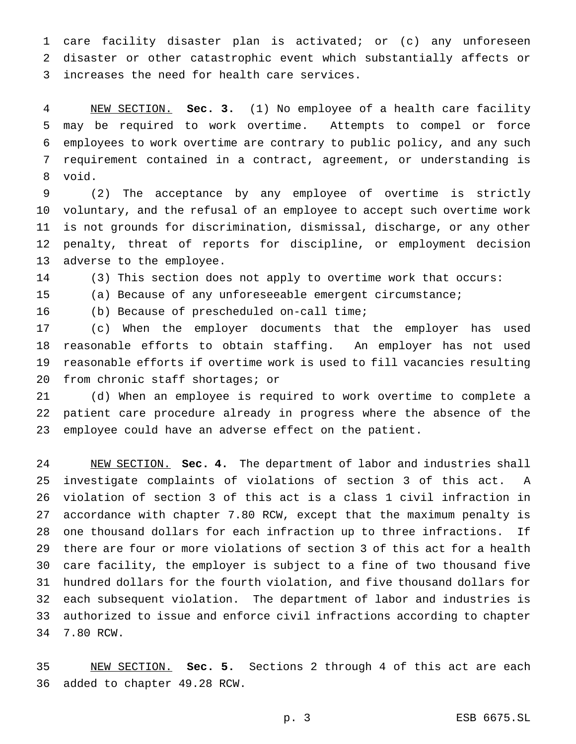care facility disaster plan is activated; or (c) any unforeseen disaster or other catastrophic event which substantially affects or increases the need for health care services.

 NEW SECTION. **Sec. 3.** (1) No employee of a health care facility may be required to work overtime. Attempts to compel or force employees to work overtime are contrary to public policy, and any such requirement contained in a contract, agreement, or understanding is void.

 (2) The acceptance by any employee of overtime is strictly voluntary, and the refusal of an employee to accept such overtime work is not grounds for discrimination, dismissal, discharge, or any other penalty, threat of reports for discipline, or employment decision adverse to the employee.

(3) This section does not apply to overtime work that occurs:

(a) Because of any unforeseeable emergent circumstance;

(b) Because of prescheduled on-call time;

 (c) When the employer documents that the employer has used reasonable efforts to obtain staffing. An employer has not used reasonable efforts if overtime work is used to fill vacancies resulting from chronic staff shortages; or

 (d) When an employee is required to work overtime to complete a patient care procedure already in progress where the absence of the employee could have an adverse effect on the patient.

 NEW SECTION. **Sec. 4.** The department of labor and industries shall investigate complaints of violations of section 3 of this act. A violation of section 3 of this act is a class 1 civil infraction in accordance with chapter 7.80 RCW, except that the maximum penalty is one thousand dollars for each infraction up to three infractions. If there are four or more violations of section 3 of this act for a health care facility, the employer is subject to a fine of two thousand five hundred dollars for the fourth violation, and five thousand dollars for each subsequent violation. The department of labor and industries is authorized to issue and enforce civil infractions according to chapter 7.80 RCW.

 NEW SECTION. **Sec. 5.** Sections 2 through 4 of this act are each added to chapter 49.28 RCW.